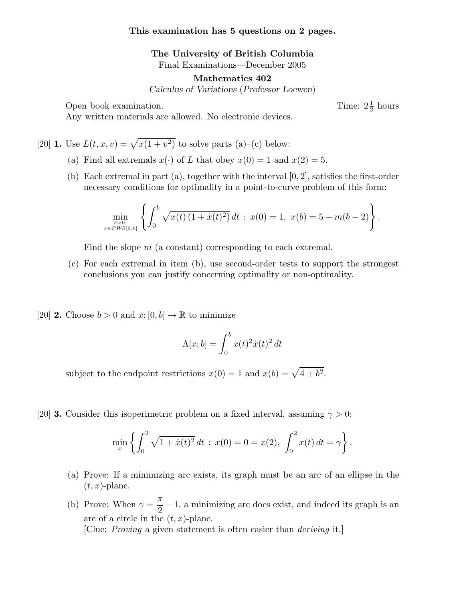## **This examination has 5 questions on 2 pages.**

**The University of British Columbia** Final Examinations—December 2005

**Mathematics 402**

*Calculus of Variations* (*Professor Loewen*)

Open book examination.

Time:  $2\frac{1}{2}$  hours

Any written materials are allowed. No electronic devices.

[20] **1.** Use  $L(t, x, v) = \sqrt{x(1 + v^2)}$  to solve parts (a)–(c) below:

- (a) Find all extremals  $x(\cdot)$  of L that obey  $x(0) = 1$  and  $x(2) = 5$ .
- (b) Each extremal in part (a), together with the interval  $[0, 2]$ , satisfies the first-order necessary conditions for optimality in a point-to-curve problem of this form:

$$
\min_{\substack{b>0,\\x\in PWS[0,b]}} \left\{ \int_0^b \sqrt{x(t)\left(1+\dot{x}(t)^2\right)}\,dt \,:\, x(0)=1,\ x(b)=5+m(b-2) \right\}.
$$

Find the slope  $m$  (a constant) corresponding to each extremal.

- (c) For each extremal in item (b), use second-order tests to support the strongest conclusions you can justify concerning optimality or non-optimality.
- [20] **2.** Choose  $b > 0$  and  $x: [0, b] \to \mathbb{R}$  to minimize

$$
\Lambda[x;b] = \int_0^b x(t)^2 \dot{x}(t)^2 dt
$$

subject to the endpoint restrictions  $x(0) = 1$  and  $x(b) = \sqrt{4 + b^2}$ .

[20] **3.** Consider this isoperimetric problem on a fixed interval, assuming  $\gamma > 0$ :

$$
\min_{x} \left\{ \int_0^2 \sqrt{1 + \dot{x}(t)^2} dt \, : \, x(0) = 0 = x(2), \, \int_0^2 x(t) dt = \gamma \right\}.
$$

- (a) Prove: If a minimizing arc exists, its graph must be an arc of an ellipse in the  $(t, x)$ -plane.
- (b) Prove: When  $\gamma = \frac{\pi}{2}$  $\frac{\pi}{2}$  – 1, a minimizing arc does exist, and indeed its graph is an arc of a circle in the  $(t, x)$ -plane.

[Clue: Proving a given statement is often easier than deriving it.]